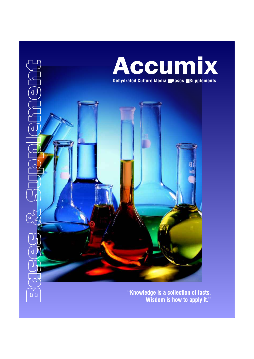

**Wisdom is how to apply it."**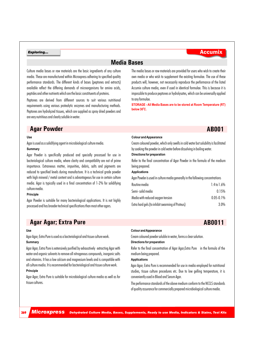## **Media Bases**

Culture media bases or raw materials are the basic ingredients of any culture media. These are manufactured within Microxpress adhering to specified quality performance standards. The different kinds of bases (peptones and extracts) available reflect the differing demands of microorganisms for amino acids, peptides and other nutrients which are the basic constituents of proteins.

Peptones are derived from different sources to suit various nutritional requirements using various proteolytic enzymes and manufacturing methods. Peptones are hydrolyzed tissues, which are supplied as spray dried powders and are very nutritious and clearly soluble in water.

## **Agar Powder AB001**

#### **Use**

Agar is used as a solidifying agent in microbiological culture media.

#### **Summary**

Agar Powder is specifically produced and specially processed for use in bacteriological culture media, where clarity and compatibility are not of prime importance. Extraneous matter, impurities, debris, salts and pigments are reduced to specified levels during manufacture. It is a technical grade powder with high mineral / metal content and is advantageous for use in certain culture media. Agar is typically used in a final concentration of 1-2% for solidifying culture media.

#### **Principle**

Agar Powder is suitable for many bacteriological applications. It is not highly processed and has broader technical specifications than most other agars.

The media bases or raw materials are provided for users who wish to create their own media or who wish to supplement the existing formulae. The use of these products will, however, not necessarily reproduce the performance of the listed Accumix culture media, even if used in identical formulae. This is because it is impossible to produce peptones or hydrolysates, which can be universally applied to any formulae.

**STORAGE - All Media Bases are to be stored at Room Temperature (RT) 0 below 30 C.**

### **Colour and Appearance**

Cream coloured powder, which only swells in cold water but solubility is facilitated by soaking the powder in cold water before dissolving in boiling water.

#### **Directions for preparation**

Refer to the final concentration of Agar Powder in the formula of the medium being prepared.

#### **Applications**

Agar Powder is used in culture media generally in the following concentrations

| Routine media                                    | 1.4 to 1.6%   |
|--------------------------------------------------|---------------|
| Semi- solid media                                | 0.15%         |
| Media with reduced oxygen tension                | $0.05 - 0.1%$ |
| Extra hard gels (to inhibit swarming of Proteus) | 3.0%          |

## **Agar Agar; Extra Pure ABOO11**

#### **Use**

Agar Agar; Extra Pure is used as a bacteriological and tissue culture work. **Summary**

Agar Agar; Extra Pure is extensively purified by exhaustively extracting Agar with water and organic solvents to remove all nitrogenous compounds, inorganic salts and vitamins. It has a low calcium and magnesium levels and is compatible with all culture media. It is recommended for bacteriological and tissue culture work.

### **Principle**

Agar Agar; Extra Pure is suitable for microbiological culture media as well as for tissue cultures.

#### **Colour and Appearance**

Cream coloured powder soluble in water, forms a clear solution. **Directions for preparation**

Refer to the final concentration of Agar Agar;Extra Pure in the formula of the medium being prepared.

### **Applications**

Agar Agar; Extra Pure is recommended for use in media employed for nutritional studies, tissue culture procedures etc. Due to low gelling temperature, it is conveniently used in Blood and Serum Agar.

The performance standards of the above medium conform to the NCCLS standards of quality assurance for commercially prepared microbiological culture media.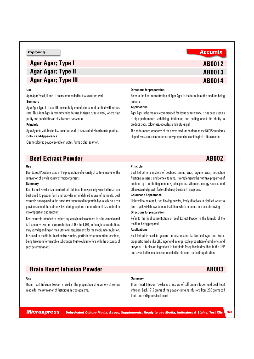## **Agar Agar; Type I Agar Agar; Type II Agar Agar; Type III**

#### **Use**

Agar Agar Type I, II and III are recommended for tissue culture work. **Summary**

Agar Agar Type I, II and III are carefully manufactured and purified with utmost care. This Agar Agar is recommended for use in tissue culture work, where high purity and good diffusion of substance is essential.

#### **Principle**

Agar Agar; is suitable for tissue culture work. It is essentially free from impurities. **Colour and Appearance**

Cream coloured powder soluble in water, forms a clear solution.

## **Beef Extract Powder AB002**

### **Use**

Beef Extract Powder is used in the preparation of a variety of culture media for the cultivation of a wide variety of microorganisms.

#### **Summary**

Beef Extract Powder is a meat extract obtained from specially selected fresh lean beef dried to powder form and provides an undefined source of nutrients. Beef extract is not exposed to the harsh treatment used for protein hydrolysis, so it can provide some of the nutrients lost during peptone manufacture. It is standard in its composition and reaction.

Beef extract is intended to replace aqueous infusion of meat in culture media and is frequently used at a concentration of 0.3 to 1.0%, although concentrations may vary depending on the nutritional requirements for the medium formulation. It is used in media for biochemical studies, particularly fermentation reactions, being free from fermentable substances that would interfere with the accuracy of such determinations.

#### **Directions for preparation**

Refer to the final concentration of Agar Agar in the formula of the medium being prepared.

**AB0012 AB0013**

**AB0014**

#### **Applications**

Agar Agar is the mainly recommended for tissue culture work. It has been used as a high performance stabilizing, thickening and gelling agent. Its ability to produce clear, colourless, odourless and natural gel.

The performance standards of the above medium conform to the NCCLS standards of quality assurance for commercially prepared microbiological culture media.

#### **Principle**

Beef Extract is a mixture of peptides, amino acids, organic acids, nucleotide fractions, minerals and some vitamins. It complements the nutritive properties of peptone by contributing minerals, phosphates, vitamins, energy sources and other essential growth factors that may be absent in peptone.

### **Colour and Appearance**

Light yellow coloured, free flowing powder, freely dissolves in distilled water to form a yellowish brown coloured solution, which remains clear on autoclaving.

### **Directions for preparation**

Refer to the final concentration of Beef Extract Powder in the formula of the medium being prepared.

### **Applications**

Beef Extract is used in general purpose media like Nutrient Agar and Broth, diagnostic media like CLED Agar and in large-scale production of antibiotics and enzymes. It is also an ingredient in Antibiotic Assay Media described in the USP and several other media recommended for standard methods application.

## **Brain Heart Infusion Powder ABOO3**

#### **Use**

Brain Heart Infusion Powder is used in the preparation of a variety of culture media for the cultivation of fastidious microorganisms.

#### **Summary**

Brain Heart Infusion Powder is a mixture of calf brain infusion and beef heart infusion. Each 17.5 grams of the powder contains infusions from 200 grams calf brain and 250 grams beef heart.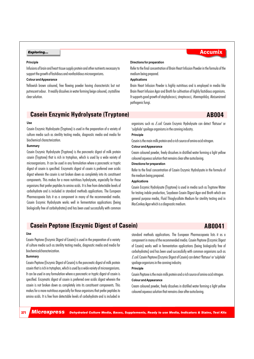#### **Principle**

Infusions of brain and heart tissue supply protein and other nutrients necessary to support the growth of fastidious and nonfastidious microorganisms.

### **Colour and Appearance**

Yellowish brown coloured, free flowing powder having characteristic but not putrescent odour. It readily dissolves in water forming beige coloured, crystalline clear solution.

#### **Directions for preparation**

Refer to the final concentration of Brain Heart Infusion Powder in the formula of the medium being prepared.

#### **Applications**

Brain Heart Infusion Powder is highly nutritious and is employed in media like Brain Heart Infusion Agar and Broth for cultivation of highly fastidious organisms. It supports good growth of staphylococci, streptococci*, Haemophilus, Neisseria*and pathogenic fungi.

## **Casein Enzymic Hydrolysate (Tryptone) AB004**

#### **Use**

Casein Enzymic Hydrolysate (Tryptone) is used in the preparation of a variety of culture media such as sterility testing media, diagnostic media and media for biochemical characterization.

#### **Summary**

Casein Enzymic Hydrolysate (Tryptone) is the pancreatic digest of milk protein casein (Tryptone) that is rich in trytophan, which is used by a wide variety of microorganisms. It can be used in any formulation where a pancreatic or tryptic digest of casein is specified. Enzymatic digest of casein is preferred over acidic digest wherein the casein is not broken down as completely into its constituent components. This makes for a more nutritious hydrolysate, especially for those organisms that prefer peptides to amino acids. It is free from detectable levels of carbohydrate and is included in standard methods applications. The European Pharmacopoeia lists it as a component in many of the recommended media. Casein Enzymic Hydrolysate works well in fermentation applications (being biologically free of carbohydrates) and has been used successfully with common

organisms such as *E.coli*. Casein Enzymic Hydrolysate can detect 'flatsour' or 'sulphide' spoilage organisms in the canning industry.

## **Principle**

Casein is the main milk protein and a rich source of amino acid nitrogen.

#### **Colour and Appearance**

Cream coloured powder, freely dissolves in distilled water forming a light yellow coloured aqueous solution that remains clear after autoclaving.

#### **Directions for preparation**

Refer to the final concentration of Casein Enzymic Hydrolysate in the formula of the medium being prepared.

#### **Applications**

Casein Enzymic Hydrolysate (Tryptone) is used in media such as Tryptone Water for testing indole production, Soyabean Casein Digest Agar and Broth which are general purpose media, Fluid Thioglycollate Medium for sterility testing and in MacConkey Agar which is a diagnostic medium.

## **Casein Peptone (Enzymic Digest of Casein)** AB0041

#### **Use**

Casein Peptone (Enzymic Digest of Casein) is used in the preparation of a variety of culture media such as sterility testing media, diagnostic media and media for biochemicalcharacterization.

#### **Summary**

Casein Peptone (Enzymic Digest of Casein) is the pancreatic digest of milk protein casein that is rich in trytophan, which is used by a wide variety of microorganisms. It can be used in any formulation where a pancreatic or tryptic digest of casein is specified. Enzymatic digest of casein is preferred over acidic digest wherein the casein is not broken down as completely into its constituent components. This makes for a more nutritious especially for those organisms that prefer peptides to amino acids. It is free from detectable levels of carbohydrate and is included in

standard methods applications. The European Pharmacopoeia lists it as a component in many of the recommended media. Casein Peptone (Enzymic Digest of Casein) works well in fermentation applications (being biologically free of carbohydrates) and has been used successfully with common organisms such as *E.coli.* Casein Peptone (Enzymic Digest of Casein) can detect 'flatsour' or 'sulphide' spoilage organisms in the canning industry.

#### **Principle**

**Colour and Appearance**

Casein Peptone is the main milk protein and a rich source of amino acid nitrogen.

Cream coloured powder, freely dissolves in distilled water forming a light yellow coloured aqueous solution that remains clear after autoclaving.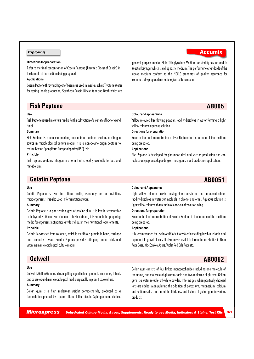#### **Directions for preparation**

Refer to the final concentration of Casein Peptone (Enzymic Digest of Casein) in the formula of the medium being prepared.

#### **Applications**

Casein Peptone (Enzymic Digest of Casein) is used in media such as Tryptone Water for testing indole production, Soyabean Casein Digest Agar and Broth which are

## **Fish Peptone AB005**

#### **Use**

Fish Peptone is used in culture media for the cultivation of a variety of bacteria and fungi.

#### **Summary**

Fish Peptone is a non-mammalian, non-animal peptone used as a nitrogen source in microbiological culture media. It is a non-bovine origin peptone to reduce Bovine Spongiform Encephalopathy (BSE) risk.

#### **Principle**

Fish Peptone contains nitrogen in a form that is readily available for bacterial metabolism.

## **Gelatin Peptone AB0051**

#### **Use**

Gelatin Peptone is used in culture media, especially for non-fastidious microorganisms. It is also used in fermentation studies.

### **Summary**

Gelatin Peptone is a pancreatic digest of porcine skin. It is low in fermentable carbohydrates. When used alone as a basic nutrient, it is suitable for preparing media for organisms not particularly fastidious in their nutritional requirements.

#### **Principle**

Gelatin is extracted from collagen, which is the fibrous protein in bone, cartilage and connective tissue. Gelatin Peptone provides nitrogen, amino acids and vitamins in microbiological culture media.

### **Use**

Gelwell is Gellan Gum, used as a gelling agent in food products, cosmetics, tablets and capsules and in microbiological media especially in plant tissue culture.

### **Summary**

Gellan gum is a high molecular weight polysaccharide, produced as a fermentation product by a pure culture of the microbe Sphingomonas elodea.

general purpose media, Fluid Thioglycollate Medium for sterility testing and in MacConkey Agar which is a diagnostic medium. The performance standards of the above medium conform to the NCCLS standards of quality assurance for commercially prepared microbiological culture media.

#### **Colour and appearance**

Yellow coloured free flowing powder, readily dissolves in water forming a light yellow coloured aqueous solution.

#### **Directions for preparation**

Refer to the final concentration of Fish Peptone in the formula of the medium being prepared.

#### **Applications**

Fish Peptone is developed for pharmaceutical and vaccine production and can replace any peptone, depending on the organism and production application.

#### **Colour and Appearance**

Light yellow coloured powder having characteristic but not putrescent odour, readily dissolves in water but insoluble in alcohol and ether. Aqueous solution is light yellow coloured that remains clear even after autoclaving.

#### **Directions for preparation**

Refer to the final concentration of Gelatin Peptone in the formula of the medium being prepared.

### **Applications**

It is recommended for use in Antibiotic Assay Media yielding low but reliable and reproducible growth levels. It also proves useful in fermentation studies in Urea Agar Base, MacConkey Agars, Violet Red Bile Agar etc.

## **Gelwell AB0052**

Gellan gum consists of four linked monosaccharides including one molecule of rhamnose, one molecule of glucuronic acid and two molecule of glucose. Gellan gum is a water soluble, off-white powder. It forms gels when positively charged ions are added. Manipulating the addition of potassium, magnesium, calcium and sodium salts can control the thickness and texture of gellan gum in various products.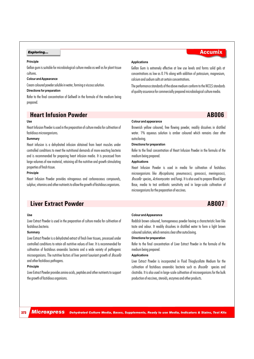#### **Principle**

Gellan gum is suitable for microbiological culture media as well as for plant tissue cultures.

#### **Colour and Appearance**

Cream coloured powder soluble in water, forming a viscous solution.

#### **Directions for preparation**

Refer to the final concentration of Gellwell in the formula of the medium being prepared.

## **Heart Infusion Powder AB006**

#### **Use**

Heart Infusion Powder is used in the preparation of culture media for cultivation of fastidious microorganisms.

#### **Summary**

Heart infusion is a dehydrated infusion obtained from heart muscles under controlled conditions to meet the nutritional demands of more exacting bacteria and is recommended for preparing heart infusion media. It is processed from large volumes of raw material, retaining all the nutritive and growth stimulating properties of fresh tissue.

#### **Principle**

Heart Infusion Powder provides nitrogenous and carbonaceous compounds, sulphur, vitamins and other nutrients to allow the growth of fastidious organisms.

## **Liver Extract Powder ABOO7**

#### **Use**

Liver Extract Powder is used in the preparation of culture media for cultivation of fastidious bacteria.

#### **Summary**

Liver Extract Powder is a dehydrated extract of fresh liver tissues, processed under controlled conditions to retain all nutritive values of liver. It is recommended for cultivation of fastidious anaerobic bacteria and a wide variety of pathogenic microorganisms. The nutritive factors of liver permit luxuriant growth of *Brucella*  and other fastidious pathogens.

#### **Principle**

373

Liver Extract Powder provides amino acids, peptides and other nutrients to support the growth of fastidious organisms.

#### **Applications**

Gellan Gum is extremely effective at low use levels and forms solid gels at concentrations as low as 0.1% along with addition of potassium, magnesium, calcium and sodium salts at certain concentrations.

The performance standards of the above medium conform to the NCCLS standards of quality assurance for commercially prepared microbiological culture media.

Brownish yellow coloured, free flowing powder, readily dissolves in distilled water. 1% aqueous solution is amber coloured which remains clear after autoclaving.

#### **Directions for preparation**

**Colour and appearance**

Refer to the final concentration of Heart Infusion Powder in the formula of the medium being prepared.

#### **Applications**

Heart Infusion Powder is used in media for cultivation of fastidious microorganisms like *Mycoplasma,* pneumococci, gonococci, meningococci, *Brucella* species, *Actinomycetes* and fungi. It is also used to prepare Blood Agar Base, media to test antibiotic sensitivity and in large-scale cultivation of microorganisms for the preparation of vaccines.

### **Colour and Appearance**

Reddish brown coloured, homogeneous powder having a characteristic liver like taste and odour. It readily dissolves in distilled water to form a light brown coloured solution, which remains clear after autoclaving.

#### **Directions for preparation**

Refer to the final concentration of Liver Extract Powder in the formula of the medium being prepared.

#### **Applications**

Liver Extract Powder is incorporated in Fluid Thioglycollate Medium for the cultivation of fastidious anaerobic bacteria such as *Brucella* species and clostridia. It is also used in large-scale cultivation of microorganisms for the bulk production of vaccines, steroids, enzymes and other products.

## **Exploring...** Accumix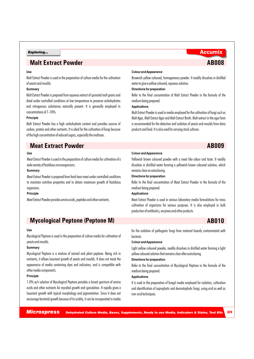## **Malt Extract Powder ABOO8**

### **Use**

Malt Extract Powder is used in the preparation of culture media for the cultivation of yeasts and moulds.

### **Summary**

Malt Extract Powder is prepared from aqueous extract of sprouted malt grains and dried under controlled conditions at low temperature to preserve carbohydrates and nitrogenous substances naturally present. It is generally employed in concentrations of 1-10%.

#### **Principle**

Malt Extract Powder has a high carbohydrate content and provides sources of carbon, protein and other nutrients. It is ideal for the cultivation of fungi because of the high concentration of reduced sugars, especially the maltoses.

## **Meat Extract Powder ABOO9**

#### **Use**

Meat Extract Powder is used in the preparation of culture media for cultivation of a wide variety of fastidious microorganisms.

#### **Summary**

Meat Extract Powder is prepared from fresh lean meat under controlled conditions to maintain nutritive properties and to obtain maximum growth of fastidious organisms.

#### **Principle**

Meat Extract Powder provides amino acids, peptides and other nutrients.

## **Mycological Peptone (Peptone M) AB010**

#### **Use**

Mycological Peptone is used in the preparation of culture media for cultivation of yeasts and moulds.

#### **Summary**

Mycological Peptone is a mixture of animal and plant peptone. Being rich in nutrients, it allows luxuriant growth of yeasts and moulds. It does not mask the appearance of media containing dyes and indicators, and is compatible with other media components.

#### **Principle**

1.0% w/v solution of Mycological Peptone provides a broad spectrum of amino acids and other nutrients for mycelial growth and sporulation. It rapidly gives a luxuriant growth with typical morphology and pigmentation. Since it does not encourage bacterial growth because of its acidity, it can be incorporated in media

#### **Colour and Appearance**

Brownish yellow coloured, homogeneous powder. It readily dissolves in distilled water to give a yellow coloured, aqueous solution.

#### **Directions for preparation**

Refer to the final concentration of Malt Extract Powder in the formula of the medium being prepared.

#### **Applications**

Malt Extract Powder is used in media employed for the cultivation of fungi such as Malt Agar, Malt Extract Agar and Malt Extract Broth. Malt extract in the agar form is recommended for the detection and isolation of yeasts and moulds from dairy products and food. It is also used for carrying stock cultures.

#### **Colour and Appearance**

Yellowish brown coloured powder with a meat like odour and taste. It readily dissolves in distilled water forming a yellowish brown coloured solution, which remains clear on autoclaving.

#### **Directions for preparation**

Refer to the final concentration of Meat Extract Powder in the formula of the medium being prepared.

### **Applications**

Meat Extract Powder is used in various laboratory media formulations for mass cultivation of organisms for various purposes. It is also employed in bulk production of antibiotics, enzymes and other products.

for the isolation of pathogenic fungi from material heavily contaminated with bacteria.

#### **Colour and Appearance**

Light yellow coloured powder, readily dissolves in distilled water forming a light yellow coloured solution that remains clear after autoclaving.

#### **Directions for preparation**

Refer to the final concentration of Mycological Peptone in the formula of the medium being prepared.

### **Applications**

It is used in the preparation of fungal media employed for isolation, cultivation and identification of saprophytic and dermatophytic fungi, using acid as well as non-acid techniques.

374

## **Exploring...** Accumix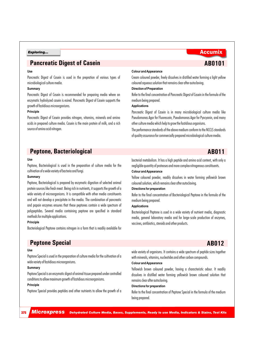## **Pancreatic Digest of Casein AB0101**

#### **Use**

Pancreatic Digest of Casein is used in the prepration of various types of microbiological culture media.

#### **Summary**

Pancreatic Digest of Casein is recommended for preparing media where an enzymatic hydrolyzed casein is esired. Pancreatic Digest of Casein supports the growth of fastidious microorganisms.

#### **Principle**

Pancreatic Digest of Casein provides nitrogen, vitamins, minerals and amino acids in prepared culture media. Casein is the main protein of milk, and a rich source of amino acid nitrogen.

#### **Colour and Appearance**

Cream coloured powder, freely dissolves in distilled water forming a light yellow coloured aqueous solution that remains clear after autoclaving.

#### **Direction of Preparation**

Refer to the final concentration of Pancreatic Digest of Casein in the formula of the medium being prepared.

#### **Applications**

Pancreatic Digest of Casein is in many microbiological culture media like Pseudomonas Agar for Fluorescein, Pseudomonas Agar for Pyocyanin, and many other culture media which help to grow the fastidious organisms.

The performance standards of the above medium conform to the NCCLS standards of quality assurance for commercially prepared microbiological culture media.

### **Peptone, Bacteriological ABO11**

#### **Use**

Peptone, Bacteriological is used in the preparation of culture media for the cultivation of a wide variety of bacteria and fungi.

#### **Summary**

Peptone, Bacteriological is prepared by enzymatic digestion of selected animal protein sources like fresh meat. Being rich in nutrients, it supports the growth of a wide variety of microorganisms. It is compatible with other media constituents and will not develop a precipitate in the media. The combination of pancreatic and papain enzymes ensures that these peptones contain a wide spectrum of polypeptides. Several media containing peptone are specified in standard methods for multiple applications.

### **Principle**

Bacteriological Peptone contains nitrogen in a form that is readily available for

## **Peptone Special AB012**

#### **Use**

Peptone Special is used in the preparation of culture media for the cultivation of a wide variety of fastidious microorganisms.

### **Summary**

Peptone Special is an enzymatic digest of animal tissue prepared under controlled conditions to allow maximum growth of fastidious microorganisms.

#### **Principle**

Peptone Special provides peptides and other nutrients to allow the growth of a

### bacterial metabolism. It has a high peptide and amino acid content, with only a negligible quantity of proteoses and more complex nitrogenous constituents. **Colour and Appearance**

Yellow coloured powder, readily dissolves in water forming yellowish brown coloured solution, which remains clear after autoclaving.

### **Directions for preparation**

Refer to the final concentration of Bacteriological Peptone in the formula of the medium being prepared.

### **Applications**

Bacteriological Peptone is used in a wide variety of nutrient media, diagnostic media, general laboratory media and for large-scale production of enzymes, vaccines, antibiotics, steroids and other products.

wide variety of organisms. It contains a wide spectrum of peptide sizes together with minerals, vitamins, nucleotides and other carbon compounds.

### **Colour and Appearance**

Yellowish brown coloured powder, having a characteristic odour. It readily dissolves in distilled water forming yellowish brown coloured solution that remains clear after autoclaving.

#### **Directions for preparation**

Refer to the final concentration of Peptone Special in the formula of the medium being prepared.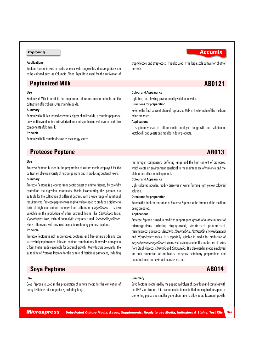#### **Applications**

Peptone Special is used in media where a wide range of fastidious organisms are to be cultured such as Columbia Blood Agar Base used for the cultivation of

## **Peptonized Milk AB0121**

#### **Use**

Peptonized Milk is used in the preparation of culture media suitable for the cultivation of lactobacilli, yeasts and moulds.

#### **Summary**

Peptonized Milk is a refined enzymatic digest of milk solids. It contains peptones, polypeptides and amino acids derived from milk protein as well as other nutritive components of skim milk.

### **Principle**

Peptonized Milk contains lactose as the energy source.

## **Proteose Peptone AB013**

#### **Use**

Proteose Peptone is used in the preparation of culture media employed for the cultivation of a wide variety of microorganisms and in producing bacterial toxins. **Summary**

Proteose Peptone is prepared from peptic digest of animal tissues, by carefully controlling the digestion parameters. Media incorporating this peptone are suitable for the cultivation of different bacteria with a wide range of nutritional requirements. Proteose peptone was originally developed to produce a diphtheria toxin of high and uniform potency from cultures of *C.diphtheriae*. It is also valuable in the production of other bacterial toxins like *C.botulinum* toxin, *C.perfringens toxin*, toxin of haemolytic streptococci and *Salmonella pullorum*. Stock cultures are well preserved on media containing proteose peptone.

#### **Principle**

Proteose Peptone is rich in proteoses, peptones and free amino acids and can successfully replace meat infusion-peptone combinations. It provides nitrogen in a form that is readily available for bacterial growth. Many factors account for the suitability of Proteose Peptone for the culture of fastidious pathogens, including

## **Soya Peptone AB014**

#### **Use**

Soya Peptone is used in the preparation of culture media for the cultivation of many fastidious microorganisms, including fungi.

staphylococci and streptococci. It is also used in the large scale cultivation of other bacteria.

### **Colour and Appearance**

Light tan, free-flowing powder readily soluble in water.

#### **Directions for preparation**

Refer to the final concentration of Peptonized Milk in the formula of the medium being prepared.

#### **Applications**

It is primarily used in culture media employed for growth and isolation of lactobacilli and yeasts and moulds in dairy products.

the nitrogen components, buffering range and the high content of proteoses, which create an environment beneficial to the maintenance of virulence and the elaboration of bacterial byproducts.

#### **Colour and Appearance**

Light coloured powder, readily dissolves in water forming light yellow coloured solution.

#### **Directions for preparation**

Refer to the final concentration of Proteose Peptone in the formula of the medium being prepared.

#### **Applications**

Proteose Peptone is used in media to support good growth of a large number of microorganisms including staphylococci, streptococci, pneumococci, meningococci, gonococci, *Neisseria, Haemophilus*, *Pasteurella, Corynebacterium* and *Histoplasma* species. It is especially suitable in media for production of *Corynebacterium diphtheria*toxin as well as in media for the production of toxins from Staphylococci*,Clostridia*and *Salmonella*. It is also used in media employed for bulk production of antibiotics, enzymes, veterinary preparations and manufacture of pertussis and measles vaccine.

#### **Summary**

Soya Peptone is obtained by the papaic hydrolysis of soya flour and complies with the USP specification. It is recommended in media that are required to support a shorter lag phase and smaller generation time to allow rapid luxuriant growth.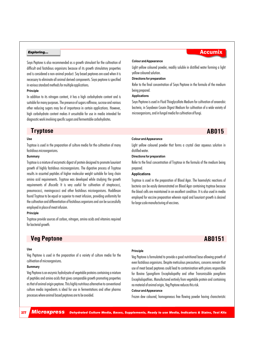Soya Peptone is also recommended as a growth stimulant for the cultivation of difficult and fastidious organisms because of its growth stimulatory properties and is considered a non-animal product. Soy based peptones are used when it is necessary to eliminate all animal derived components. Soya peptone is specified in various standard methods for multiple applications.

#### **Principle**

In addition to its nitrogen content, it has a high carbohydrate content and is suitable for many purposes. The presence of sugars raffinose, sucrose and various other reducing sugars may be of importance in certain applications. However, high carbohydrate content makes it unsuitable for use in media intended for diagnostic work involving specific sugars and fermentable carbohydrates.

## **Tryptose AB015**

#### **Use**

Tryptose is used in the preparation of culture media for the cultivation of many fastidious microorganisms.

### **Summary**

Tryptose is a mixture of enzymatic digest of protein designed to promote luxuriant growth of highly fastidious microorganisms. The digestive process of Tryptose results in assorted peptides of higher molecular weight suitable for long chain amino acid requirements. Tryptose was developed while studying the growth requirements of *Brucella.* It is very useful for cultivation of streptococci, pneumococci, meningococci and other fastidious micriorganisms. Huddleson found Tryptose to be equal or superior to meat infusion, providing uniformity for the cultivation and differentiation of fastidious organisms and can be successfully employed in place of meat infusion.

#### **Principle**

Tryptose provide sources of carbon, nitrogen, amino acids and vitamins required for bacterial growth.

## **Veg Peptone AB0151**

#### **Use**

Veg Peptone is used in the preparation of a variety of culture media for the cultivation of microorganisms.

#### **Summary**

Veg Peptone is an enzymic hydrolysate of vegetable proteins containing a mixture of peptides and amino acids that gives comparable growth promoting properties as that of animal origin peptone. This highly nutritious alternative to conventional culture media ingredients is ideal for use in fermentations and other pharma processes where animal based peptones are to be avoided.

#### **Colour and Appearance**

Light yellow coloured powder, readily soluble in distilled water forming a light yellow coloured solution.

#### **Directions for preparation**

Refer to the final concentration of Soya Peptone in the formula of the medium being prepared.

### **Applications**

Soya Peptone is used in Fluid Thioglycollate Medium for cultivation of anaerobic bacteria, in Soyabean Casein Digest Medium for cultivation of a wide variety of microorganisms, and in fungal media for cultivation of fungi.

#### **Colour and Appearance**

Light yellow coloured powder that forms a crystal clear aqueous solution in distilled water.

#### **Directions for preparation**

Refer to the final concentration of Tryptose in the formula of the medium being prepared.

#### **Applications**

Tryptose is used in the preparation of Blood Agar. The haemolytic reactions of bacteria can be easily demonstrated on Blood Agar containing tryptose because the blood cells are maintained in an excellent condition. It is also used in media employed for vaccine preparation wherein rapid and luxuriant growth is desired for large scale manufacturing of vaccines.

#### **Principle**

Veg Peptone is formulated to provide a good nutritional base allowing growth of even fastidious organisms. Despite meticulous precautions, concerns remain that use of meat based peptones could lead to contamination with prions responsible for Bovine Spongiform Encephalopathy and other Transmissible pongiform Encephalopathies. Manufactured entirely from vegetable protein and containing no material of animal origin, Veg Peptone reduces this risk.

### **Colour and Appearance**

Frozen dew coloured, homogeneous free flowing powder having characteristic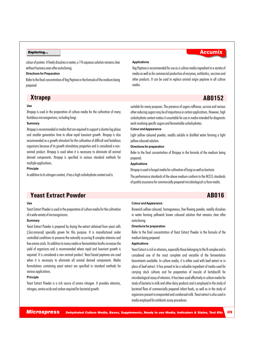colour of protein. It freely dissolves in water; a 1% aqueous solution remains clear without haziness even after autoclaving.

#### **Directions for Preparation**

Refer to the final concentration of Veg Peptone in the formula of the medium being prepared.

#### **Applications**

Veg Peptone is recommended for use as a culture media ingredient in a variety of media.

#### **Use**

Xtrapep is used in the preparation of culture media for the cultivation of many fastidious microorganisms, including fungi.

#### **Summary**

Xtrapep is recommended in media that are required to support a shorter lag phase and smaller generation time to allow rapid luxuriant growth. Xtrapep is also recommended as a growth stimulant for the cultivation of difficult and fastidious organisms because of its growth stimulatory properties and is considered a nonanimal product. Xtrapep is used when it is necessary to eliminate all animal derived components. Xtrapep is specified in various standard methods for multiple applications.

#### **Principle**

In addition to its nitrogen content, it has a high carbohydrate content and is

media as well as for commercial production of enzymes, antibiotics, vaccines and other products. It can be used to replace animal origin peptone in all culture

## **Xtrapep AB0152**

suitable for many purposes. The presence of sugars raffinose, sucrose and various other reducing sugars may be of importance in certain applications. However, high carbohydrate content makes it unsuitable for use in media intended for diagnostic work involving specific sugars and fermentable carbohydrates.

#### **Colour and Appearance**

Light yellow coloured powder, readily soluble in distilled water forming a light yellow coloured solution.

#### **Directions for preparation**

Refer to the final concentration of Xtrapep in the formula of the medium being prepared.

#### **Applications**

Xtrapep is used in fungal media for cultivation of fungi as well as bacteria.

The performance standards of the above medium conform to the NCCLS standards of quality assurance for commercially prepared microbiological cu lture media.

## **Yeast Extract Powder AB016**

#### **Use**

Yeast Extract Powder is used in the preparation of culture media for the cultivation of a wide variety of microorganisms.

#### **Summary**

Yeast Extract Powder is prepared by drying the extract obtained from yeast cells (*Saccromyces*) specially grown for this purpose. It is manufactured under controlled conditions to preserve the naturally occurring B complex vitamins and free amino acids. Its addition to many media or fermentation broths increases the yield of organisms and is recommended where rapid and luxuriant growth is required. It is considered a non-animal product. Yeast based peptones are used when it is necessary to eliminate all animal derived components. Media formulations containing yeast extract are specified in standard methods for various applications.

#### **Principle**

Yeast Extract Powder is a rich source of amino nitrogen. It provides vitamins, nitrogen, amino acids and carbon required for bacterial growth.

#### **Colour and Appearance**

Brownish yellow coloured, homogeneous, free flowing powder, readily dissolves in water forming yellowish brown coloured solution that remains clear after autoclaving.

#### **Directions for preparation**

Refer to the final concentration of Yeast Extract Powder in the formula of the medium being prepared.

### **Applications**

Yeast Extract is rich in vitamins, especially those belonging to the B complex and is considered one of the most complete and versatile of the fermentation bionutrients available. In culture media, it is either used with beef extract or in place of beef extract. It has proved to be a valuable ingredient of media used for carrying stock cultures and for preparation of inocula of lactobacilli for microbiological assay of vitamins. It has been used effectively in culture media for study of bacteria in milk and other dairy products and is employed in the study of bacterial flora of commercially prepared infant foods, as well as in the study of organisms present in evaporated and condensed milk. Yeast extract is also used in media employed for antibiotic assay procedures.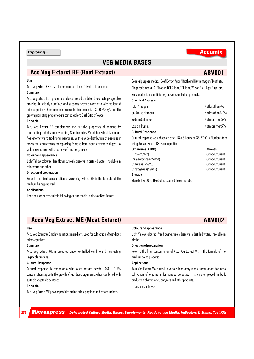## **VEG MEDIA BASES**

## **Acc Veg Extarct BE (Beef Extract)**

### **Use**

Accu Veg Extract BE is used for preparation of a variety of culture media.

#### **Summary**

Accu Veg Extract BE is prepared under controlled condition by extracting vegetable proteins. It ishighly nutritious and supports heavy growth of a wide variety of microorganisms. Recommended concentration for use is 0.3 - 0.5% w/v and the growth promoting properties are comparable to Beef Extract Powder.

### **Principle**

Accu Veg Extract BE complements the nutritive properties of peptone by contributing carbohydrate, vitamins, & amino acids. Vegetable Extract is a meatfree alternative to traditional peptones. With a wide distribution of peptides it meets the requirements for replacing Peptone from meat, enzymatic digest to yield maximum growth of variety of microorganisms.

#### **Colour and appearance**

Light Yellow coloured, free flowing, freely dissolve in distilled water. Insoluble in chloroform and ether.

#### **Direction of preparation**

Refer to the final concentration of Accu Veg Extract BE in the formula of the medium being prepared.

#### **Applications**

It can be used successfully in following culture media in place of Beef Extract:

| Bulk production of antibiotics, enzymes and other products.                    |
|--------------------------------------------------------------------------------|
| Diagnostic media: CLED Agar, DCLS Agar, TSI Agar, Wilson Blair Agar Base, etc. |
| General purpose media: Beef Extract Agar/Broth and Nutrient Agar/Broth etc.    |

### **Chemical Analysis**

| Total Nitrogen :            | Not less than 9%   |
|-----------------------------|--------------------|
| $\alpha$ - Amino Nitrogen : | Not less than 3.0% |
| Sodium Chloride :           | Not more than 5%   |
| Loss on drying :            | Not more than 5%   |
| <b>Cultural Response:</b>   |                    |
|                             |                    |

Cultural response was observed after 18-48 hours at 35-37°C in Nutrient Agar using Acc Veg Extarct BE as an ingredient.

| Organisms (ATCC)                                                 | Growth  |
|------------------------------------------------------------------|---------|
| E. coli (25922)                                                  | Good-lu |
| Ps. aeruginosa (27853)                                           | Good-lu |
| S. aureus (25923)                                                | Good-lu |
| S. pyogenes (19615)                                              | Good-lu |
| Storage                                                          |         |
| Store helow $30^{\circ}$ C II se hefore exniry date on the label |         |

Good-luxuriant *Ps. aeruginosa* (27853) Good-luxuriant **Good-luxuriant** *S. pyogenes* (19615) Good-luxuriant

## **Accu Veg Extract ME (Meat Extarct)**

#### **Use**

Accu Veg Extract ME highly nutritious ingredient, used for cultivation of fastidious microorganisms.

### **Summary**

Accu Veg Extract ME is prepared under controlled conditions by extracting vegetable proteins.

#### **Cultural Response :**

Cultural response is comparable with Meat extract powder. 0.3 - 0.5% concentration supports the growth of fastidious organisms, when combined with suitable vegetable peptones.

#### **Principle**

Accu Veg Extract ME powder provides amino acids, peptides and other nutrients.

#### **Colour and appearance**

Light Yellow coloured, free flowing, freely dissolve in distilled water. Insoluble in alcohol.

### **Direction of preparation**

Refer to the final concentration of Accu Veg Extract ME in the formula of the medium being prepared.

#### **Applications**

Accu Veg Extract Me is used in various laboratory media formulations for mass cultivation of organisms for various purposes. It is also employed in bulk production of antibiotics, enzymes and other products.

It is used as follows :

*Microxpress Dehydrated Culture Media, Bases, Supplements, Ready to use Media, Indicators & Stains, Test Kits*

## **ABV002**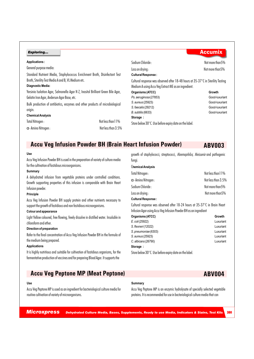#### **Applications :**

General purpose media:

Standard Nutrient Media, Staphylococcus Enrichment Broth, Disinfectant Test Broth, Sterility Test Media A and B, VL Medium etc.

### **Diagnostic Media:**

Yersinia Isolation Agar, Salmonella Agar N Z, Inositol Brilliant Green Bile Agar, Gelatin Iron Agar, Anderson Agar Base, etc.

Bulk production of antibiotics, enzymes and other products of microbiological origin.

#### **Chemical Analysis**

| Total Nitrogen:             | Not less than 1 1 % |
|-----------------------------|---------------------|
| $\alpha$ - Amino Nitrogen : | Not less than 3.5%  |

| Sodium Chloride ·                                                                          | Not more than 5% |
|--------------------------------------------------------------------------------------------|------------------|
| Loss on drying :                                                                           | Not more than 5% |
| <b>Cultural Response:</b>                                                                  |                  |
| Cultural response was observed after 18-48 hours at 35-37 $\degree$ C in Sterility Testing |                  |
| Medium A using Accu Veg Extract ME as an ingredient.                                       |                  |
| Organisms (ATCC)                                                                           | Growth           |
| Ps. aeruginosa (27853)                                                                     | Good-luxuriant   |
| S. aureus (25923)                                                                          | Good-luxuriant   |
| S. faecalis (29212)                                                                        | Good-luxuriant   |
| B. subtilis (6633)                                                                         | Good-luxuriant   |
| Storage:                                                                                   |                  |
| Store below 30°C. Use before expiry date on the label.                                     |                  |

## **Accu Veg Infusion Powder BH (Brain Heart Infusion Powder)**

**Use**

Accu Veg Infusion Powder BH is used in the preparation of variety of culture media for the cultivation of fastidious microorganisms.

#### **Summary**

A dehydrated infusion from vegetable proteins under controlled conditions. Growth supporting properties of this infusion is comparable with Brain Heart Infusion powder.

### **Principle**

Accu Veg Infusion Powder BH supply protein and other nutrients necessary to support the growth of fastidious and non fastidious microorganisms.

#### **Colour and appearance**

Light Yellow coloured, free flowing, freely dissolve in distilled water. Insoluble in chloroform and ether.

#### **Direction of preparation**

Refer to the final concentration of Accu Veg Infusion Powder BH in the formula of the medium being prepared.

#### **Applications**

It is highly nutritious and suitable for cultivation of fastidious organisms, for the fermentative production of vaccines and for preparing Blood Agar. It supports the

## **Accu Veg Peptone MP (Meat Peptone)**

#### **Use**

Accu Veg Peptone MP is used as an ingredient for bacteriological culture media for routine cultivation of variety of microorganisms.

growth of staphylococci, streptococci, *Haemophilus, Neisseria* and pathogenic fungi.

**ABV003**

## C**hemical Analysis**

| Total Nitrogen:             | Not less than 1 1 % |
|-----------------------------|---------------------|
| $\alpha$ - Amino Nitrogen : | Not less than 3.5%  |
| Sodium Chloride:            | Not more than 5%    |
| Loss on drying :            | Not more than 5%    |
| <b>Cultural Response:</b>   |                     |

### Cultural response was observed after 18-24 hours at 35-37°C in Brain Heart Infusion Agar using Accu Veg Infusion Powder BH as an ingredient

| Organisms (ATCC)     | Growth    |
|----------------------|-----------|
| E. coli (25922)      | Luxuriant |
| S. flexneri (12022)  | Luxuriant |
| S. pneumoniae (6303) | Luxuriant |
| S. aureus (25923)    | Luxuriant |
| C. albicans (26790)  | Luxuriant |
| Storage:             |           |

Store below 30°C. Use before expiry date on the label.

Accu Veg Peptone MP is an enzymic hydrolysate of specially selected vegetable proteins. It is recommended for use in bacteriological culture media that can

*Microxpress Dehydrated Culture Media, Bases, Supplements, Ready to use Media, Indicators & Stains, Test Kits* <sup>380</sup>

**Summary**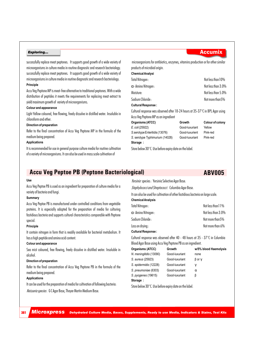successfully replace meat peptones. It supports good growth of a wide variety of microorganisms in culture media in routine diagnostic and research bacteriology. successfully replace meat peptones. It supports good growth of a wide variety of microorganisms in culture media in routine diagnostic and research bacteriology. **Principle**

Accu Veg Peptone MP is meat-free alternative to traditional peptones. With a wide distribution of peptides it meets the requirements for replacing meat extract to yield maximum growth of variety of microorganisms.

#### **Colour and appearance**

Light Yellow coloured, free flowing, freely dissolve in distilled water. Insoluble in chloroform and ether.

#### **Direction of preparation**

Refer to the final concentration of Accu Veg Peptone MP in the formula of the medium being prepared.

#### **Applications**

It is recommended for use in general purpose culture media for routine cultivation of a variety of microorganisms. It can also be used in mass scale cultivation of

microorganisms for antibiotics, enzymes, vitamins production or for other similar products of microbial origin.

#### **Chemical Analysi**

| Total Nitrogen:             | Not less than 10%  |
|-----------------------------|--------------------|
| $\alpha$ - Amino Nitrogen : | Not less than 3.0% |
| Moisture:                   | Not less than 5.0% |
| Sodium Chloride :           | Not more than 5%   |
| <b>Cultural Response:</b>   |                    |

Cultural response was observed after 18-24 hours at 35-37°C in BPL Agar using Accu Veg Peptone MP as an ingredient

| Organisms (ATCC)                | Growth         | Colour of colony |
|---------------------------------|----------------|------------------|
| E. coli (25922)                 | Good-luxuriant | Yellow           |
| S. serotype Enteritidis (13076) | Good-luxurient | Pink-red         |
| S. serotype Typhimurium (14028) | Good-luxuriant | Pink-red         |
| Storage:                        |                |                  |

Store below 30°C. Use before expiry date on the label.

## **Accu Veg Peptoe PB (Peptone Bacteriological)**

#### **Use**

Accu Veg Peptoe PB is used as an ingredient for preparation of culture media for a variety of bacteria and fungi.

### **Summary**

Accu Veg Peptoe PB is manufactured under controlled conditions from vegetable proteins. It is especially adapted for the preparation of media for culturing fastidious bacteria and supports cultural characteristics comparable with Peptone special.

#### **Principle**

It contain nitrogen in form that is readily available for bacterial metabolism. It has a high peptide and amino acid content.

#### **Colour and appearance**

Sea mist coloured, free flowing, freely dissolve in distilled water. Insoluble in alcohol.

#### **Direction of preparation**

Refer to the final concentration of Accu Veg Peptone PB in the formula of the medium being prepared.

### **Applications**

It can be used for the preparation of media for cultivation of following bacteria:

*Neisseria species* : G C Agar Base, Thayer Martin Medium Base.

*Yersinia* species : Yersinia Selective Agar Base.

*Staphylococci and Streptococci* : Columbia Agar Base.

It can also be used for cultivation of other fastidious bacteria on large scale.

#### **Chemical Analysis**

| Total Nitrogen:             | Not less than 1 1 % |
|-----------------------------|---------------------|
| $\alpha$ - Amino Nitrogen : | Not less than 3.0%  |
| Sodium Chloride :           | Not more than 5%    |
| Loss on drying :            | Not more than 6%    |
|                             |                     |

### **Cultural Response :**

Cultural response was observed after 40 - 48 hours at 35 - 37°C in Columbia Blood Agar Base using Accu Veg Peptone PB as an ingredient.

| Organisms (ATCC)        | Growth         | w/5% blood Haemolysis |
|-------------------------|----------------|-----------------------|
| N. meningitidis (13090) | Good-luxuriant | none                  |
| S. aureus (25923)       | Good-luxuriant | $\beta$ or $\Box$     |
| S. epidermidis (12228)  | Good-luxuriant | a                     |
| S. pneumoniae (6303)    | Good-luxuriant | а                     |
| S. pyogenes (19615)     | Good-luxuriant | ß                     |
| Storage:                |                |                       |

Store below 30°C. Use before expiry date on the label.

*Microxpress Dehydrated Culture Media, Bases, Supplements, Ready to use Media, Indicators & Stains, Test Kits*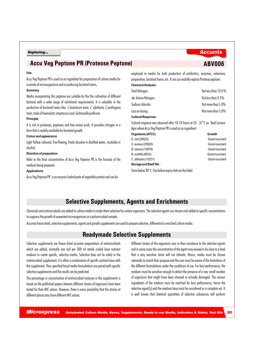## **Accu Veg Peptone PR (Proteose Peptone)**

#### **Use**

Accu Veg Peptone PR is used as an ingredient for preparation of culture media for a variety of microorganisms and in producing bacterial toxins.

#### **Summary**

Media incorporating this peptone are suitable for the the cultivation of different bacteria with a wide range of nutritional requirements. It is valuable in the production of bacterial toxins like *C.botulinum toxin, C. diptheria, C.perfringens* toxin, toxin of haemolytic streptococci and *Salmonella pullorum.* 

### **Principle**

It is rich in proteoses, peptones and free amino acids. It provides nitrogen in a form that is readily available for bacterial growth.

#### **Colour and appearance**

Light Yellow coloured, free flowing, freely dissolve in distilled water, insoluble in alcohol.

#### **Direction of preparation**

Refer to the final concentration of Accu Veg Peptone PR in the formula of the medium being prepared.

#### **Applications**

Accu Veg Peptone PR is an enzymic hydrolysate of vegetable protein and can be

employed in media for bulk production of antibiotics, enzymes, veterinary preparation, bacterial toxins, etc. It can successfully replace Proteose peptone. **Chemical Analysis :**

| Total Nitrogen:                                                                         | Not less than 10.0 % |
|-----------------------------------------------------------------------------------------|----------------------|
| a Amino Nitrogen:                                                                       | Not less than 3.5%   |
| Sodium chloride :                                                                       | Not more than 5.0%   |
| Loss on drying :                                                                        | Not more than 5.0%   |
| <b>Cultural Response:</b>                                                               |                      |
| Cultural response was observed after 18-24 hours at 35 - 37 $\degree$ C on Beef Lactose |                      |

Agar where Accu Veg Peptone PR is used as an ingredient.

**Organisms (ATCC)** Growth *E. coli* (25922) Good-luxuriant *S. aureus* (25923) Good-luxuriant *B. cereus* (10876) Good-luxuriant *B. subtilis* (6633) Good-luxuriant *C. albicans* (10231) Good-luxuriant

## **Selective Supplements, Agents and Enrichments**

Chemicals and antimicrobials are added to culture media to make them selective for certain organisms. The selective agents are chosen and added at specific concentrations to suppress the growth of unwanted microorganisms in a polymicrobial sample.

Accumix freeze dried, selective supplements, agents and growth supplements are used to prepare selective, differential or enriched culture media.

## **Readymade Selective Supplements**

Selective supplements are freeze dried accurate preparations of antimicrobials which are added, normally one vial per 500 ml sterile cooled base nutrient medium to create specific, selective media. Selection does not lie solely in the antimicrobial supplement; it is often a combination of specific nutrient base with the supplement. Thus specified basal media formulations are paired with specific selective supplements and the results can be predicted.

The percentage or concentration of antimicrobial mixtures in the supplements is based on the published papers wherein different strains of organisms have been tested for their MIC values. However, there is every possibility that the strains at different places may have different MIC values.

Different strains of the organisms vary in their resistance to the selective agents and in some cases the concentration of the agent may exceed or be close to a level that a very sensitive strain will not tolerate. Hence, media must be chosen rationally to match their purpose and the user must be aware of the limitations of the different formulations under the conditions of use. For best performance, the medium must be sensitive enough to detect the presence of a very small number of organisms that might have been stressed or actually damaged. The various ingredients of the medium must be matched for best performance, hence the selective agent(s) and the medium base must be considered as a complete set. It is well known that identical quantities of selective substances will perform

**Storage and Shelf life :** Store below 30°C. Use before expiry date on the label.

## **Exploring...** Accumix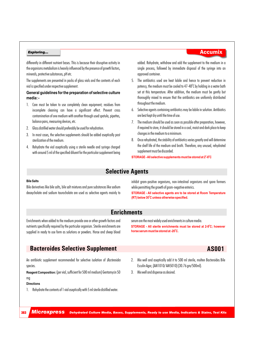differently in different nutrient bases. This is because their disruptive activity in the organisms metabolism is heavily influenced by the presence of growth factors, minerals, protective substances, pH etc.

The supplements are presented in packs of glass vials and the contents of each vial is specified under respective supplement.

### **General guidelines for the preparation of selective culture media: -**

- 1. Care must be taken to use completely clean equipment; residues from incomplete cleaning can have a significant effect. Prevent cross contamination of one medium with another through used spatula, pipettes, balance pans, measuring devices, etc.
- 2. Glass distilled water should preferably be used for rehydration.
- 3. In most cases, the selective supplements should be added aseptically post sterilization of the medium.
- 4. Rehydrate the vial aseptically using a sterile needle and syringe charged with around 5 ml of the specified diluent for the particular supplement being

### added. Rehydrate, withdraw and add the supplement to the medium in a single process, followed by immediate disposal of the syringe into an approved container.

- 5. The antibiotics used are heat labile and hence to prevent reduction in potency, the medium must be cooled to 47-48°C by holding in a water bath set at this temperature. After addition, the medium must be gently but thoroughly mixed to ensure that the antibiotics are uniformly distributed throughout the medium.
- 6. Selective agents containing antibiotics may be labile in solution. Antibiotics are best kept dry until the time of use.
- 7. The medium should be used as soon as possible after preparation, however, if required to store, it should be stored in a cool, moist and dark place to keep changes in the medium to a minimum.
- 8. Once rehydrated, the stability of antibiotics varies greatly and will determine the shelf life of the medium and broth. Therefore, any unused, rehydrated supplement must be discarded.

#### **0 0 STORAGE - All selective supplements must be stored at 2 -8 C**

## **Selective Agents**

#### **Bile Salts**

Bile derivatives like bile salts, bile salt mixtures and pure substances like sodium deoxycholate and sodium taurocholate are used as selective agents mainly to

inhibit gram-positive organisms, non-intestinal organisms and spore formers while permitting the growth of gram-negative enterics.

**STORAGE - All selective agents are to be stored at Room Temperature 0 (RT) below 30 C unless otherwise specified.**

## **Enrichments**

Enrichments when added to the medium provide one or other growth factors and nutrients specifically required by the particular organism. Sterile enrichments are supplied in ready to use form as solutions or powders. Horse and sheep blood serum are the most widely used enrichments in culture media. **STORAGE - All sterile enrichments must be stored at 2-8°C; however 0 horse serum must be stored at -20 C.**

## **Bacteroides Selective Supplement AS001**

#### An antibiotic supplement recommended for selective isolation of *Bacteroides* species.

**Reagent Composition:** (per vial, sufficient for 500 ml medium) Gentamycin 50 mg

#### **Directions**

383

- 1. Rehydrate the contents of 1 vial aseptically with 5 ml sterile distilled water.
- 2. Mix well and aseptically add it to 500 ml sterile, molten Bacteroides Bile Esculin Agar, (AM1010/ AM5010) (30.76 gm/500ml).
- 3. Mix well and dispense as desired.

## **Exploring...** Accumix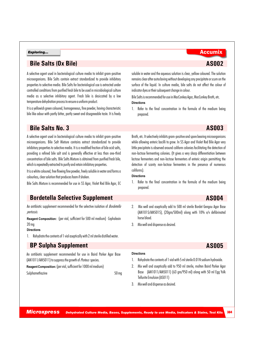## **Bile Salts (Ox Bile) AS002**

A selective agent used in bacteriological culture media to inhibit gram-positive microorganisms. Bile Salts contain extract standardized to provide inhibitory properties to selective media. Bile Salts for bacteriological use is extracted under controlled conditions from purified fresh bile to be used in microbiological culture media as a selective inhibitory agent. Fresh bile is desiccated by a low temperature dehydration process to ensure a uniform product.

It is a yellowish green coloured, homogeneous, fine powder, having characteristic bile like odour with partly bitter, partly sweet and disagreeable taste. It is freely

## **Exploring...** Accumix

soluble in water and the aqueous solution is clear, yellow coloured. The solution remains clear after autoclaving without developing any precipitate or scum on the surface of the liquid. In culture media, bile salts do not affect the colour of indicator dyes or their subsequent change in colour.

Bile Salts is recommended for use in MacConkey Agar, MacConkey Broth, etc. **Directions**

1. Refer to the final concentration in the formula of the medium being prepared.

## **Bile Salts No. 3 AS003**

A selective agent used in bacteriological culture media to inhibit gram-positive microorganisms. Bile Salt Mixture contains extract standardized to provide inhibitory properties to selective media. It is a modified fraction of bile acid salts, providing a refined bile salt and is generally effective at less than one-third concentration of bile salts. Bile Salts Mixture is obtained from purified fresh bile, which is repeatedly extracted to purify and retain inhibitory properties.

It is a white coloured, free flowing fine powder, freely soluble in water and forms a colourless, clear solution that produces foam if shaken.

Bile Salts Mixture is recommended for use in SS Agar, Violet Red Bile Agar, EC

## **Bordetella Selective Supplement AS004**

An antibiotic supplement recommended for the selective isolation of *Bordetella pertussis.*

**Reagent Composition:** (per vial, sufficient for 500 ml medium) Cephalexin 20 mg

#### **Directions**

1. Rehydrate the contents of 1 vial aseptically with 2 ml sterile distilled water.

## **BP Sulpha Supplement AS005**

An antibiotic supplement recommended for use in Baird Parker Agar Base (AM1011/AM5011) to suppress the growth of *Proteus* species.

**Reagent Composition:** (per vial, sufficient for 1000 ml medium)

Sulphamethazine 50 mg

Broth, etc. It selectively inhibits gram-positive and spore bearing microorganisms while allowing enteric bacilli to grow. In SS Agar and Violet Red Bile Agar very little precipitate is observed around coliform colonies facilitating the detection of non-lactose fermenting colonies. (It gives a very sharp differentiation between lactose fermenters and non-lactose fermenters of enteric origin permitting the detection of scanty non-lactose fermenters in the presence of numerous coliforms).

#### **Directions**

1. Refer to the final concentration in the formula of the medium being prepared.

- 2. Mix well and aseptically add to 500 ml sterile Bordet Gengou Agar Base (AM1015/AM5015), (20gm/500ml) along with 10% v/v defibrinated horse blood.
- 3. Mix well and dispense as desired.

### **Directions**

- 1. Rehydrate the contents of 1 vial with 5 ml sterile 0.01N sodium hydroxide.
- 2. Mix well and aseptically add to 950 ml sterile, molten Baird Parker Agar Base (AM1011/AM5011) (63 gm/950 ml) along with 50 ml Egg Yolk Tellurite Emulsion (AS011)
- 3. Mix well and dispense as desired.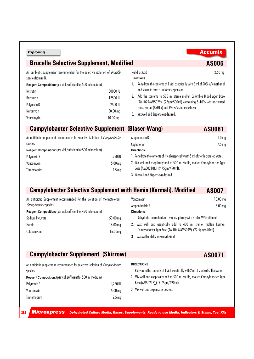| Exploring | <b>Accumix</b> |  |
|-----------|----------------|--|
|-----------|----------------|--|

## **Brucella Selective Supplement, Modified <b>AS006** AS006

An antibiotic supplement recommended for the selective isolation of *Brucella*  species from milk.

**Reagent Composition:** (per vial, sufficient for 500 ml medium)

| 50000 IU              |
|-----------------------|
| 12500 IU              |
| 2500 IU               |
| $50.00 \,\mathrm{mg}$ |
| $10.00$ mg.           |
|                       |

## Nalidixic Acid 2.50 mg **Directions**

- 1. Rehydrate the contents of 1 vial aseptically with 5 ml of 50% v/v methanol and shake to form a uniform suspension.
- 2. Add the contents to 500 ml sterile molten Columbia Blood Agar Base (AM1029/AM5029), (22gm/500ml) containing 5-10% v/v inactivated Horse Serum (AS015) and 1% w/v sterile dextrose.
- 3. Mix well and dispense as desired.

## **Campylobacter Selective Supplement (Blaser-Wang) AS0061**

| An antibiotic supplement recommended for selective isolation of <i>Campylobacter</i> |  |
|--------------------------------------------------------------------------------------|--|
| species.                                                                             |  |

| <b>Reagent Composition:</b> (per vial, sufficient for 500 ml medium) |  |  |  |
|----------------------------------------------------------------------|--|--|--|
| ni · n                                                               |  |  |  |

| 1,250 IU          |
|-------------------|
| $5.00$ mg         |
| 2.5 <sub>mg</sub> |
|                   |

| Amphotericin B                                                                        | 1.0 <sub>mq</sub> |
|---------------------------------------------------------------------------------------|-------------------|
| Cephalothin                                                                           | 7.5 <sub>mq</sub> |
| <b>Directions</b>                                                                     |                   |
| 1. Rehydrate the contents of 1 vial aseptically with 5 ml of sterile distilled water. |                   |
| 2. Mix well and aseptically add to 500 ml sterile, molten Campylobacter Agar          |                   |
| Base (AM50218), (19.75gm/490ml).                                                      |                   |

3. Mix well and dispense as desired.

## **Campylobacter Selective Supplement with Hemin (Karmali), Modified AS007**

An antibiotic Supplement recommended for the isolation of thermotolerant *Campylobacter* species.

Cefoperazone 16.00mg

| <b>Reagent Composition:</b> (per vial, sufficient for 490 ml medium) |                      |
|----------------------------------------------------------------------|----------------------|
| Sodium Pyruvate                                                      | $50.00\,\mathrm{ma}$ |
| Hemin                                                                | 16.00 <sub>mg</sub>  |

| $10.00 \,\mathrm{mg}$ |
|-----------------------|
| $5.00$ mg             |
|                       |
|                       |

- 1. Rehydrate the contents of 1 vial aseptically with 5 ml of 95% ethanol.
- 2. Mix well and aseptically add to 490 ml sterile, molten Karmali Campylobacter Agar Base (AM1049/AM5049), (22.5gm/490ml).
- 3. Mix well and dispense as desired.

## **Campylobacter Supplement (Skirrow)**

An antibiotic supplement recommended for selective isolation of *Campylobacter* species.

**Reagent Composition:** (per vial, sufficient for 500 ml medium)

| Polymyxin B  | 1,250 IU           |
|--------------|--------------------|
| Vancomycin   | 5.00 <sub>mg</sub> |
| Trimethoprim | 2.5 <sub>mq</sub>  |

### **DIRECTIONS**

- 1. Rehydrate the contents of 1 vial aseptically with 2 ml of sterile distilled water.
- 2. Mix well and aseptically add to 500 ml sterile, molten Campylobacter Agar Base (AM50218),(19.75gm/490ml).
- 3. Mix well and dispense as desired.

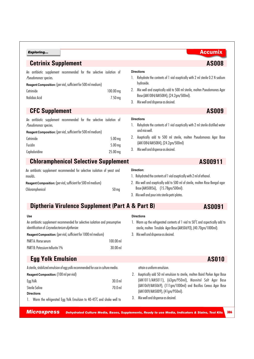| Exploring                                                                                                                                                                                                                                                       |                                  | <b>Accumix</b>                                                                                                                                                                                                                                                                      |
|-----------------------------------------------------------------------------------------------------------------------------------------------------------------------------------------------------------------------------------------------------------------|----------------------------------|-------------------------------------------------------------------------------------------------------------------------------------------------------------------------------------------------------------------------------------------------------------------------------------|
| <b>Cetrinix Supplement</b>                                                                                                                                                                                                                                      |                                  | <b>AS008</b>                                                                                                                                                                                                                                                                        |
| An antibiotic supplement recommended for the selective isolation of<br>Pseudomonas species.<br>Reagent Composition: (per vial, sufficient for 500 ml medium)<br>Cetrimide<br>Nalidixic Acid                                                                     | 100.00 mg<br>7.50 mg             | <b>Directions</b><br>Rehydrate the contents of 1 vial aseptically with 2 ml sterile 0.2 N sodium<br>hydroxide.<br>Mix well and aseptically add to 500 ml sterile, molten Pseudomonas Agar<br>2.<br>Base (AM1084/AM5084), (24.2gm/500ml).<br>Mix well and dispense as desired.<br>3. |
| <b>CFC Supplement</b>                                                                                                                                                                                                                                           |                                  | <b>AS009</b>                                                                                                                                                                                                                                                                        |
| An antibiotic supplement recommended for the selective isolation of<br>Pseudomonas species.<br>Reagent Composition: (per vial, sufficient for 500 ml medium)<br>Cetrimide<br>Fucidin<br>Cephaloridine                                                           | $5.00$ mg<br>5.00 mg<br>25.00 mg | <b>Directions</b><br>Rehydrate the contents of 1 vial aseptically with 2 ml sterile distilled water<br>and mix well.<br>Aseptically add to 500 ml sterile, molten Pseudomonas Agar Base<br>2.<br>(AM1084/AM5084), (24.2gm/500ml)<br>3.<br>Mix well and dispense as desired.         |
| <b>Chloramphenicol Selective Supplement</b>                                                                                                                                                                                                                     |                                  | AS00911                                                                                                                                                                                                                                                                             |
| An antibiotic supplement recommended for selective isolation of yeast and<br>moulds.<br>Reagent Composition: (per vial, sufficient for 500 ml medium)<br>Chloramphenicol                                                                                        | 50 <sub>mg</sub>                 | Direction:<br>1. Rehydrated the contents of 1 vial aseptically with 2 ml of ethanol.<br>2. Mix well and aseptically add to 500 ml of sterile, molten Rose Bengal agar<br>Base (AM50856), (15.78gm/500ml).<br>3. Mix well and pour into sterile petri plates.                        |
| Diptheria Virulence Supplement (Part A & Part B)                                                                                                                                                                                                                |                                  | <b>AS0091</b>                                                                                                                                                                                                                                                                       |
| Use<br>An antibiotic supplement recommended for selective isolation and presumptive<br>identification of Corynebacterium diptheriae.<br>Reagent Composition: (per vial, sufficient for 1000 ml medium)<br>PART A: Horse serum<br>PART B: Potassium tellurite 1% | 100.00 ml<br>30.00 ml            | <b>Directions</b><br>1. Warm up the refrigerated contents of 1 vial to $50^{\circ}$ C and aspectically add to<br>sterile, molten Tinsdale Agar Base (AM50693), (40.70gm/1000ml).<br>3. Mix well and dispense as desired.                                                            |
| <b>Egg Yolk Emulsion</b>                                                                                                                                                                                                                                        |                                  | <b>AS010</b>                                                                                                                                                                                                                                                                        |
| A sterile, stabilized emulsion of egg yolk recommended for use in culture media.<br>Reagent Composition: (100 ml per vial)<br>Egg Yolk<br><b>Sterile Saline</b><br><b>Directions</b>                                                                            | 30.0 ml<br>70.0 ml               | attain a uniform emulsion.<br>Aseptically add 50 ml emulsion to sterile, molten Baird Parker Agar Base<br>2.<br>(AM1011/AM5011), (63gm/950ml), Mannitol Salt Agar Base<br>(AM1069/AM5069), (111gm/1000ml) and Bacillus Cereus Agar Base<br>(AM1009/AM5009), (41gm/950ml).           |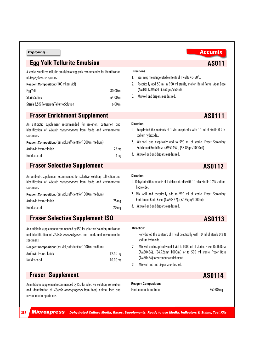specimens.

specimens.

## **Egg Yolk Tellurite Emulsion AS011**

| A sterile, stabilized tellurite emulsion of egg yolk recommended for identification |           |
|-------------------------------------------------------------------------------------|-----------|
| of <i>Staphylococcus</i> species.                                                   |           |
| <b>Reagent Composition: (100 ml per vial)</b>                                       |           |
| Egg Yolk                                                                            | $30.00$ m |

Sterile Saline 64.00 ml Sterile 3.5% Potassium Tellurite Solution 6.00 ml

An antibiotic supplement recommended for isolation, cultivation and identification of *Listeria monocytogenes* from foods and environmental

Acriflavin hydrochloride 25 mg Nalidixic acid 4 mg

An antibiotic supplement recommended for selective isolation, cultivation and identification of *Listeria monocytogenes* from foods and environmental

Acriflavin hydrochloride 25 mg Nalidixic acid 20 mg

## **Fraser Enrichment Supplement** AS0111

**Reagent Composition:** (per vial, sufficient for 1000 ml medium)

**Fraser Selective Supplement** 

**Reagent Composition:** (per vial, sufficient for 1000 ml medium)

### **Directions** 1. Warm up the refrigerated contents of 1 vial to 45-50°C.

- 2. Aseptically add 50 ml in 950 ml sterile, molten Baird Parker Agar Base (AM1011/AM5011), (63gm/950ml).
- 3. Mix well and dispense as desired.

#### **Direction:**

- 1. Rehydrated the contents of 1 vial aseptically with 10 ml of sterile 0.2 N sodium hydroxide..
- 2. Mix well and aseptically add to 990 ml of sterile, Fraser Secondary Enrichment Broth Base (AM50457), (57.85gm/1000ml).
- 3. Mix well and and dispense as desired.

## **AS0112**

### **Direction:**

- 1. Rehydrated the contents of 1 vial aseptically with 10 ml of sterile 0.2 N sodium hydroxide..
- 2. Mix well and aseptically add to 990 ml of sterile, Fraser Secondary Enrichment Broth Base (AM50457), (57.85gm/1000ml).
- 3. Mix well and and dispense as desired.

## **Fraser Selective Supplement ISO**

An antibiotic supplement recommended by ISO for selective isolation, cultivation and identification of *Listeria monocytogenes* from foods and environmental specimens.

**Reagent Composition:** (per vial, sufficient for 1000 ml medium)

| Acriflavin hydrochloride | $12.50 \,\mathrm{mg}$ |
|--------------------------|-----------------------|
| Nalidixic acid           | $10.00 \,\mathrm{mg}$ |

## **Fraser Supplement**

An antibiotic supplement recommended by ISO for selective isolation, cultivation and identification of *Listeria monocytogenes* from food, animal feed and environmental specimens.

**Direction:**

- 1. Rehydrated the contents of 1 vial aseptically with 10 ml of sterile 0.2 N sodium hydroxide..
- 2. Mix well and aseptically add 1 vial to 1000 ml of sterile, Fraser Broth Base (AM50456), (54.92gm/ 1000ml) or to 500 ml sterile Fraser Base (AM50456) for secondary enrichment.
- 3. Mix well and and dispense as desired.

**AS0114**

**AS0113**

**Reagent Composition:**  Ferric ammonium citrate 250.00 mg

<sup>387</sup> *Microxpress Dehydrated Culture Media, Bases, Supplements, Ready to use Media, Indicators & Stains, Test Kits*

## **Exploring...** Accumix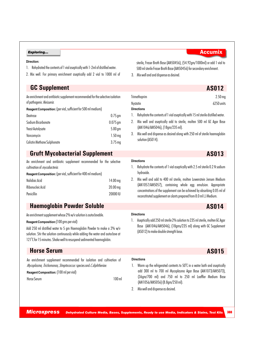#### **Direction:**

- 1. Rehydrated the contents of 1 vial aseptically with 1-2ml of distilled water.
- 2. Mix well. For primary enrichment aseptically add 2 vial to 1000 ml of

**GC Supplement AS012**

An enrichment and antibiotic supplement recommended for the selective isolation of pathogenic *Neisseria.*

**Reagent Composition:** (per vial, sufficient for 500 ml medium)

| Dextrose                    | $0.75$ gm          |
|-----------------------------|--------------------|
| Sodium Bicarbonate          | $0.075$ gm         |
| Yeast Autolysate            | 5.00 <sub>gm</sub> |
| Vancomycin                  | 1.50 <sub>mg</sub> |
| Colistin Methane Sulphonate | $3.75$ mg          |

## **Gruft Mycobacterial Supplement AS013**

An enrichment and antibiotic supplement recommended for the selective cultivation of *mycobacteria.*

**Reagent Composition:** (per vial, sufficient for 400 ml medium)

| Nalidixic Acid   | $14.00 \,\mathrm{mg}$ |
|------------------|-----------------------|
| Ribonucleic Acid | $20.00 \,\mathrm{mg}$ |
| Penicillin       | 20000 IU              |

## **Haemoglobin Powder Soluble AS014**

An enrichment supplement whose 2% w/v solution is autoclavable.

#### **Reagent Composition:**(100 gms per vial)

Add 250 ml distilled water to 5 gm Haemoglobin Powder to make a 2% w/v solution. Stir the solution continuously while adding the water and autoclave at 121°C for 15 minutes. Shake well to resuspend sedimented haemoglobin.

## **Horse Serum AS015**

An enrichment supplement recommended for isolation and cultivation of *Mycoplasma*, *Trichomonas,Streptococcus* species and *C.diphtheriae.*

**Reagent Composition:** (100 ml per vial)

Horse Serum 100 ml

**Directions**

**Directions**

- 1. Warm up the refrigerated contents to  $50^{\circ}$ C in a water bath and aseptically add 300 ml to 700 ml Mycoplasma Agar Base (AM1073/AM5073), (36gm/700 ml) and 750 ml to 250 ml Loeffler Medium Base (AM1056/AM5056) (8.8gm/250 ml).
- 2. Mix well and dispense as desired.

| Exploring | <b>Accumix</b> |
|-----------|----------------|

sterile, Fraser Broth Base (AM50456), (54.92gm/1000ml) or add 1 vial to 500 ml sterile Fraser Broth Base (AM50456) for secondary enrichment.

3. Mix well and and dispense as desired.

| $2.50$ mg  |
|------------|
| 6250 units |
|            |
|            |

- 1. Rehydrate the contents of 1 vial aseptically with 15 ml sterile distilled water.
- 2. Mix well and aseptically add to sterile, molten 500 ml GC Agar Base (AM1046/AM5046), (18gm/235 ml).
- 3. Mix well and dispense as desired along with 250 ml of sterile haemoglobin solution (AS014).

#### **Directions**

### 1. Rehydrate the contents of 1 vial aseptically with 2.5 ml sterile 0.2 N sodium hydroxide.

2. Mix well and add to 400 ml sterile, molten Lowenstein Jensen Medium (AM1057/AM5057), containing whole egg emulsion. Appropriate concentrations of the supplement can be achieved by absorbing 0.05 ml of reconstituted supplement on slants prepared from 8.0 ml L J Medium.

1. Aseptically add 250 ml sterile 2% solution to 235 ml sterile, molten GC Agar Base (AM1046/AM5046), (18gms/235 ml) along with GC Supplement

# (AS012) to make double strength base.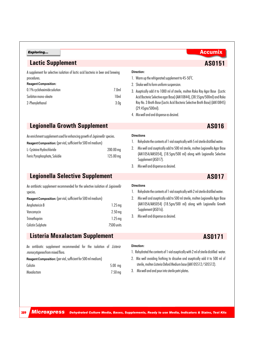## **Lactic Supplement AS0151**

| A supplement for selective isolation of lactic acid bacteria in beer and brewing |                  |
|----------------------------------------------------------------------------------|------------------|
| procedures.                                                                      |                  |
| <b>Reagent Composition:</b>                                                      |                  |
| 0.1% cycloheximide solution                                                      | 7.0 <sub>m</sub> |
| Sorbitan mono-oleate                                                             | 10ml             |
| 2-Phenylethanol                                                                  | 3.0 <sub>0</sub> |

### **Direction:**

- 1. Warm up the refrigerated supplement to 45-50°C.
- 2. Shake well to form uniform suspension.
- 3. Aseptically add it to 1000 ml of sterile, molten Raka Ray Agar Base (Lactic Acid Bacteria Selective agar Base) (AM10844), (38.55gm/500ml) and Raka Ray No. 3 Broth Base (Lactic Acid Bacteria Selective Broth Base) (AM10845) (29.45gm/500ml).
- 4. Mix well and and dispense as desired.

**AS0171**

## **Legionella Growth Supplement AS016**

An enrichment supplement used for enhancing growth of *Legionella* species.

| Reagent Composition: (per vial, sufficient for 500 ml medium) |  |
|---------------------------------------------------------------|--|
|                                                               |  |

| L- Cysteine Hydrochloride     | $200.00\,\mathrm{ma}$ |
|-------------------------------|-----------------------|
| Ferric Pyrophosphate, Soluble | 125.00 ma             |

#### **Directions**

- 1. Rehydrate the contents of 1 vial aseptically with 5 ml sterile distilled water.
- 2. Mix well and aseptically add to 500 ml sterile, molten Legionella Agar Base (AM1054/AM5054), (18.5gm/500 ml) along with Legionella Selective Supplement (AS017).
- 3. Mix well and dispense as desired.

## **Legionella Selective Supplement AS017**

An antibiotic supplement recommended for the selective isolation of *Legionella* species.

| Reagent Composition: (per vial, sufficient for 500 ml medium) |                    |  |
|---------------------------------------------------------------|--------------------|--|
| Amphotericin B                                                | 1.25 <sub>mq</sub> |  |
| Vancomycin                                                    | 2.50 <sub>mg</sub> |  |
| Trimethoprim                                                  | $1.25$ mg          |  |
| <b>Colistin Sulphate</b>                                      | 7500 units         |  |

### **Directions**

- 1. Rehydrate the contents of 1 vial aseptically with 2 ml sterile distilled water.
- 2. Mix well and aseptically add to 500 ml sterile, molten Legionella Agar Base (AM1054/AM5054) (18.5gm/500 ml) along with Legionella Growth Supplement (AS016).
- 3. Mix well and dispense as desired.

## **Listeria Moxalactam Supplement**

An antibiotic supplement recommended for the isolation of *Listeria monocytogenes* from mixed flora.

**Reagent Composition:** (per vial, sufficient for 500 ml medium) Colistin 5.00 mg

389

| Moxalactam | 7.50 mg |
|------------|---------|
|            |         |

#### **Direction:**

1. Rehydrated the contents of 1 vial aseptically with 2 ml of sterile distilled water.

2. Mix well avoiding frothing to dissolve and aseptically add it to 500 ml of sterile, molten Listeria Oxford Medium base (AM105512 / 505512).

3. Mix well and and pour into sterile petri plates.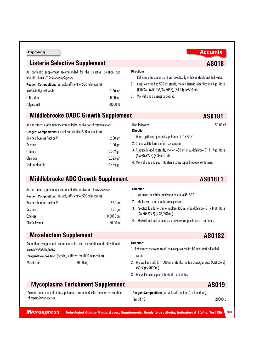## **Listeria Selective Supplement AS018**

An antibiotic supplement recommended for the selective isolation and identification of *Listeria monocytogenes.*

| Reagent Composition: (per vial, sufficient for 500 ml medium) |  |  |  |  |  |
|---------------------------------------------------------------|--|--|--|--|--|
|---------------------------------------------------------------|--|--|--|--|--|

| Acriflavin Hydrochloride | 2.50 <sub>mg</sub>  |
|--------------------------|---------------------|
| Ceftazidime              | 10.00 <sub>mg</sub> |
| Polymixin B              | 50000 IU            |

## **Middlebrooke OADC Growth Supplement**

### An enrichment supplement recommended for cultivation of *Mycobacteria.*

| Reagent Composition: (per vial, sufficient for 500 ml medium) |                    |
|---------------------------------------------------------------|--------------------|
| Bovine albumine fraction V                                    | 2.50 <sub>gm</sub> |
| Dextrose                                                      | 1.00 <sub>gm</sub> |
| Catalase                                                      | $0.002$ gm         |
| Oleic acid                                                    | $0.025$ gm         |
| Sodium chloride                                               | $0.425$ gm         |
|                                                               |                    |

## **Middlebrooke ADC Growth Supplement**

| An enrichment supplement recommended for cultivation of <i>Mycobacteria</i> . |                    |
|-------------------------------------------------------------------------------|--------------------|
| Reagent Composition: (per vial, sufficient for 500 ml medium)                 |                    |
| Bovine albumine fraction V                                                    | 2.50 <sub>gm</sub> |
| Dextrose                                                                      | 1.00 <sub>gm</sub> |
| Catalase                                                                      | $0.0015$ gm        |
| Distilled water                                                               | 50.00 ml           |
|                                                                               |                    |

## **Moxalactam Supplement AS0182** An antibiotic supplement recommended for selective isolation and cultivation of *Listeria monocytogenes.* **Reagent Composition:** (per vial, sufficient for 1000 ml medium) Moxalactam 20.00 mg **Mycoplasma Enrichment Supplement AS019**

### An enrichment and antibiotic supplement recommended for the selective isolation of *Mycoplasma* species.

**Reagent Composition:** (per vial, sufficient for 70 ml medium) Penicillin G 2000011

*Microxpress Dehydrated Culture Media, Bases, Supplements, Ready to use Media, Indicators & Stains, Test Kits* <sup>390</sup>

## **Direction:**

**Direction:**

1. Warm up the refrigerated supplement to 45-50°C.

1. Warm up the refrigerated supplement to 45-50°C.

2. Shake well to form uniform suspension.

(AM5069273) (9.8/500 ml).

- 2. Shake well to form uniform suspension.
- 3. Aseptically add to sterile, molten 450 ml of Middlebrook 7H9 Broth Base (AM5069272) (2.35/500 ml).
- 4. Mix well and and pour into sterile screw capped tubes or containers.

## **Direction:**

- 1. Rehydrated the contents of 1 vial aseptically with 10 ml of sterile distilled water.
- 2. Mix well and add to 1000 ml of sterile, molten LPM Agar Base (AM10575) (50.5 gm/1000ml).
- 3. Mix well and and pour into sterile petri plates.

**AS01811**

- 1. Rehydrate the contents of 1 vial aseptically with 5 ml sterile distilled water.
- 2. Aseptically add to 500 ml sterile, molten Listeria Identification Agar Base (PALCAM) (AM1055/AM5055), (34.44gm/500 ml).
- 3. Mix well and dispense as desired.

**Directions**

## Distilled water 50.00 ml

**AS0181**

## 3. Aseptically add to sterile, molten 450 ml of Middlebrook 7H11 Agar Base

4. Mix well and and pour into sterile screw capped tubes or containers.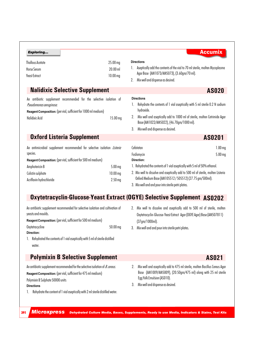| Exploring                                                                                                                                                                          |                                          | <b>Accumix</b>                                                                                                                                                                                                                                                               |
|------------------------------------------------------------------------------------------------------------------------------------------------------------------------------------|------------------------------------------|------------------------------------------------------------------------------------------------------------------------------------------------------------------------------------------------------------------------------------------------------------------------------|
| <b>Thallous Acetate</b><br><b>Horse Serum</b><br><b>Yeast Extract</b>                                                                                                              | 25.00 mg<br>20.00 ml<br>$10.00$ mg<br>2. | <b>Directions</b><br>Aseptically add the contents of the vial to 70 ml sterile, molten Mycoplasma<br>Agar Base (AM1073/AM5073), (3.60gm/70 ml).<br>Mix well and dispense as desired.                                                                                         |
| <b>Nalidixic Selective Supplement</b>                                                                                                                                              |                                          | <b>AS020</b>                                                                                                                                                                                                                                                                 |
| An antibiotic supplement recommended for the selective isolation of<br>Pseudomonas aeruginosa.<br>Reagent Composition: (per vial, sufficient for 1000 ml medium)<br>Nalidixic Acid | 2.<br>15.00 mg<br>3.                     | <b>Directions</b><br>Rehydrate the contents of 1 vial aseptically with 5 ml sterile 0.2 N sodium<br>hydroxide.<br>Mix well and aseptically add to 1000 ml of sterile, molten Cetrimide Agar<br>Base (AM1022/AM5022), (46.70gm/1000 ml).<br>Mix well and dispense as desired. |
| <b>Oxford Listeria Supplement</b>                                                                                                                                                  |                                          | AS0201                                                                                                                                                                                                                                                                       |
| An antimicrobial supplement recommended for selective isolation Listeria<br>species.                                                                                               |                                          | $1.00$ mg<br>Cefotetan<br>$5.00$ mg<br>Fosfomycin                                                                                                                                                                                                                            |
| Reagent Composition: (per vial, sufficient for 500 ml medium)                                                                                                                      |                                          | Direction:<br>1. Rehydrated the contents of 1 vial aseptically with 5 ml of 50% ethanol.                                                                                                                                                                                     |
| Amphotericin B<br>Colistin sulphate<br>Acriflavin hydrochloride                                                                                                                    | $5.00$ mg<br>$10.00$ mg<br>$2.50$ mg     | 2. Mix well to dissolve and aseptically add to 500 ml of sterile, molten Listeria<br>Oxford Medium Base (AM105512/505512) (27.75 gm/500ml).                                                                                                                                  |
|                                                                                                                                                                                    |                                          |                                                                                                                                                                                                                                                                              |

3. Mix well and and pour into sterile petri plates.

## **Oxytetracyclin-Glucose-Yeast Extract (OGYE) Selective Supplement AS0202**

An antibiotic supplement recommended for selective isolation and cultivation of yeasts and moulds.

**Reagent Composition:** (per vial, sufficient for 500 ml medium)

- Oxytetracycline 50.00 mg
- **Direction:**
- 1. Rehydrated the contents of 1 vial aseptically with 5 ml of sterile distilled water.

## **Polymixin B Selective Supplement AS021**

An antibiotic supplement recommended for the selective isolation of *B.cereus*.

**Reagent Composition:** (per vial, sufficient for 475 ml medium)

Polymixin B Sulphate 50000 units

### **Directions**

1. Rehydrate the content of 1 vial aseptically with 2 ml sterile distilled water.

- 2. Mix well to dissolve and aseptically add to 500 ml of sterile, molten Oxytetracyclin-Glucose-Yeast Extract Agar (OGYE Agar) Base (AM507811) (37gm/1000ml).
- 3. Mix well and and pour into sterile petri plates.
- 2. Mix well and aseptically add to 475 ml sterile, molten Bacillus Cereus Agar Base (AM1009/AM5009), (20.50gm/475 ml) along with 25 ml sterile Egg Yolk Emulsion (AS010).
- 3. Mix well and dispense as desired.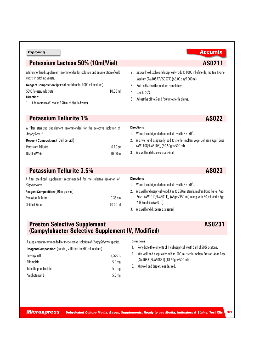## **Potassium Lactose 50% (10ml/Vial)**

A filter sterilized supplement recommended for isolation and enumeration of wild yeasts in pitching yeasts.

**Reagent Composition:** (per vial, sufficient for 1000 ml medium)

50% Potassium lactate 10.00 ml

### **Direction:**

*Staphylococci.*

1. Add contents of 1 vial to 990 ml of distilled water.

## **Potassium Tellurite 1% AS022**

|  |                | Reagent Composition: (10 ml per vial) |                                                                           |  |  |  |
|--|----------------|---------------------------------------|---------------------------------------------------------------------------|--|--|--|
|  | Staphylococci. |                                       |                                                                           |  |  |  |
|  |                |                                       | A filter sterilized supplement recommended for the selective isolation of |  |  |  |

| Potassium Tellurite    | $0.10$ gm  |
|------------------------|------------|
| <b>Distilled Water</b> | $10.00$ ml |

A filter sterilized supplement recommended for the selective isolation of

Potassium Tellurite 0.35 gm Distilled Water 10.00 ml

## **Potassium Tellurite 3.5% AS023**

**Reagent Composition:** (10 ml per vial)

1. Warm the refrigerated content of 1 vial to 45-50°C.

2. Mix well and aseptically add 3 ml to 950 ml sterile, molten Baird Parker Agar Base (AM1011/AM5011), (63gm/950 ml) along with 50 ml sterile Egg Yolk Emulsion (AS010).

2. Mix well and aseptically add to sterile, molten Vogel Johnson Agar Base

3. Mix well and dispense as desired.

## **Preston Selective Supplement (Campylobacter Selective Supplement IV, Modified)**

A supplement recommended for the selective isolation of *Campylobacter* species.

| Reagent Composition: (per vial, sufficient for 500 ml medium) |                   |
|---------------------------------------------------------------|-------------------|
| Polymyxin B                                                   | 2,500 IU          |
| Rifampicin                                                    | 5.0 <sub>mq</sub> |
| <b>Trimethoprim Lactate</b>                                   | $5.0$ mg.         |
| Amphotericin B                                                | $5.0$ mg.         |

#### **Directions**

1. Rehydrate the contents of 1 vial aseptically with 5 ml of 50% acetone.

2. Mix well and aseptically add to 500 ml sterile molten Preston Agar Base (AM10831/AM50831) (18.50gm/500 ml).

3. Mix well and dispense as desired.

- 2. Mix well to dissolve and aseptically add to 1000 ml of sterile, molten Lysine Medium (AM10577 / 50577) (66.00 gm/1000ml).
- 3. Boil to dissolve the medium completely.
- 4. Cool to  $50^{\circ}$ C.

**Directions**

5. Adjust the pH to 5 and Pour into sterile plates.

1. Warm the refrigerated content of 1 vial to 45-50°C.

(AM1108/AM5108), (30.50gm/500 ml).

3. Mix well and dispense as desired.

**AS0231**

**AS0211**

392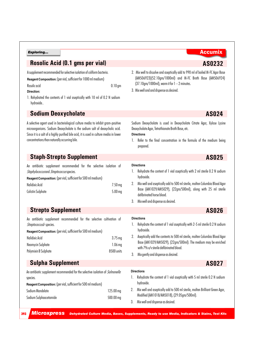## **Rosolic Acid (0.1 gms per vial) AS0232**

A supplement recommended for selective isolation of coliform bacteria.

**Reagent Composition:** (per vial, sufficient for 1000 ml medium)

Rosolic acid **0.10 gm** 

**Direction:**

1. Rehydrated the contents of 1 vial aseptically with 10 ml of 0.2 N sodium hydroxide..

## **Sodium Deoxycholate AS024**

A selective agent used in bacteriological culture media to inhibit gram-positive microorganisms. Sodium Deoxycholate is the sodium salt of deoxycholic acid. Since it is a salt of a highly purified bile acid, it is used in culture media in lower concentrations than naturally occurring bile.

- 2. Mix well to dissolve and aseptically add to 990 ml of boiled M-FC Agar Base (AM506923)(52.10gm/1000ml) and M-FC Broth Base (AM506924) (37.10gm/1000ml), warm it for 1 – 2 minutes.
- 3. Mix well and and dispense as desired.

Sodium Deoxycholate is used in Deoxycholate Citrate Agar, Xylose Lysine Deoxycholate Agar, Tetrathionate Broth Base, etc.

**Directions**

**Directions**

**Directions**

1. Refer to the final concentration in the formula of the medium being prepared.

## **Staph-Strepto Supplement AS025**

An antibiotic supplement recommended for the selective isolation of *Staphylococcus*and *Streptococcus*species.

**Reagent Composition:** (per vial, sufficient for 500 ml medium)

| Nalidixic Acid    | $7.50$ mg |
|-------------------|-----------|
| Colistin Sulphate | $5.00$ mg |

## **Strepto Supplement AS026**

An antibiotic supplement recommended for the selective cultivation of *Streptococcusb* species.

**Reagent Composition:** (per vial, sufficient for 500 ml medium)

| Nalidixic Acid       | $3.75$ mg          |
|----------------------|--------------------|
| Neomycin Sulphate    | 1.06 <sub>mq</sub> |
| Polymixin B Sulphate | 8500 units         |

## **Sulpha Supplement AS027**

An antibiotic supplement recommended for the selective isolation of *Salmonella* species. **Reagent Composition:** (per vial, sufficient for 500 ml medium) Sodium Mandelate 125.00 mg Sodium Sulphaacetamide 500.00 mg 1. Rehydrate the content of 1 vial aseptically with 2 ml sterile 0.2 N sodium hydroxide.

2. Mix well and aseptically add to 500 ml sterile, molten Columbia Blood Agar Base (AM1029/AM5029), (22gm/500ml), along with 25 ml sterile defibrinated horse blood.

3. Mix well and dispense as desired.

- 1. Rehydrate the content of 1 vial aseptically with 2-5 ml sterile 0.2 N sodium hydroxide.
- 2. Aseptically add the contents to 500 ml sterile, molten Columbia Blood Agar Base (AM1029/AM5029), (22gm/500ml). The medium may be enriched with 7% v/v sterile defibrinated blood.
- 3. Mix gently and dispense as desired.

**Directions** 1. Rehydrate the content of 1 vial aseptically with 5 ml sterile 0.2 N sodium hydroxide.

2. Mix well and aseptically add to 500 ml sterile, molten Brilliant Green Agar, Modified (AM1018/AM5018), (29.05gm/500ml).

3. Mix well and dispense as desired.

*Microxpress Dehydrated Culture Media, Bases, Supplements, Ready to use Media, Indicators & Stains, Test Kits*

## **Exploring...** Accumix